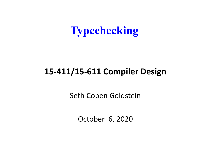#### **Typechecking**

#### **15-411/15-611 Compiler Design**

Seth Copen Goldstein

October 6, 2020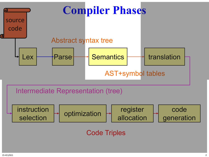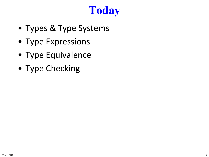# **Today**

- Types & Type Systems
- Type Expressions
- Type Equivalence
- Type Checking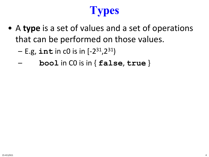# **Types**

- A **type** is a set of values and a set of operations that can be performed on those values.
	- E.g, **int** in c0 is in [-231,231)
	- **bool** in C0 is in { **false**, **true** }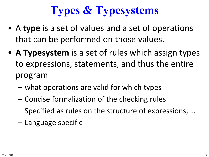# **Types & Typesystems**

- A **type** is a set of values and a set of operations that can be performed on those values.
- **A Typesystem** is a set of rules which assign types to expressions, statements, and thus the entire program
	- what operations are valid for which types
	- Concise formalization of the checking rules
	- Specified as rules on the structure of expressions, …
	- Language specific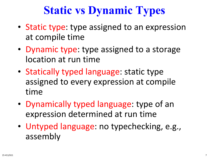### **Static vs Dynamic Types**

- Static type: type assigned to an expression at compile time
- Dynamic type: type assigned to a storage location at run time
- Statically typed language: static type assigned to every expression at compile time
- Dynamically typed language: type of an expression determined at run time
- Untyped language: no typechecking, e.g., assembly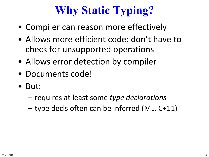# **Why Static Typing?**

- Compiler can reason more effectively
- Allows more efficient code: don't have to check for unsupported operations
- Allows error detection by compiler
- Documents code!
- But:
	- requires at least some *type declarations*
	- type decls often can be inferred (ML, C+11)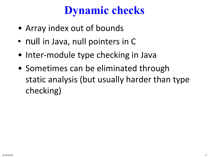### **Dynamic checks**

- Array index out of bounds
- null in Java, null pointers in C
- Inter-module type checking in Java
- Sometimes can be eliminated through static analysis (but usually harder than type checking)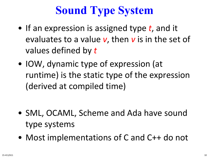# **Sound Type System**

- If an expression is assigned type *t*, and it evaluates to a value *v*, then *v* is in the set of values defined by *t*
- IOW, dynamic type of expression (at runtime) is the static type of the expression (derived at compiled time)

- SML, OCAML, Scheme and Ada have sound type systems
- Most implementations of C and C++ do not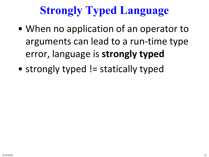# **Strongly Typed Language**

- When no application of an operator to arguments can lead to a run-time type error, language is **strongly typed**
- strongly typed != statically typed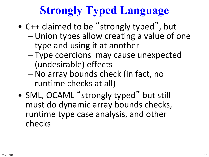# **Strongly Typed Language**

- C++ claimed to be "strongly typed", but – Union types allow creating a value of one type and using it at another
	- Type coercions may cause unexpected (undesirable) effects
	- No array bounds check (in fact, no runtime checks at all)
- SML, OCAML "strongly typed" but still must do dynamic array bounds checks, runtime type case analysis, and other checks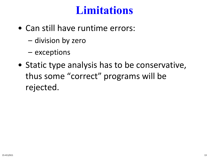#### **Limitations**

- Can still have runtime errors:
	- division by zero
	- exceptions
- Static type analysis has to be conservative, thus some "correct" programs will be rejected.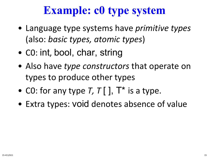### **Example: c0 type system**

- Language type systems have *primitive types*  (also: *basic types, atomic types*)
- C0: int, bool, char, string
- Also have *type constructors* that operate on types to produce other types
- CO: for any type  $T, T$   $\lceil$   $\rceil$ ,  $T^*$  is a type.
- Extra types: void denotes absence of value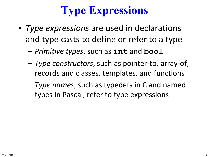# **Type Expressions**

- *Type expressions* are used in declarations and type casts to define or refer to a type
	- *Primitive types*, such as **int** and **bool**
	- *Type constructors*, such as pointer-to, array-of, records and classes, templates, and functions
	- *Type names*, such as typedefs in C and named types in Pascal, refer to type expressions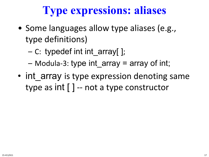## **Type expressions: aliases**

- Some languages allow type aliases (e.g., type definitions)
	- C: typedef int int\_array[ ];
	- $-$  Modula-3: type int array = array of int;
- int array is type expression denoting same type as  $int \lceil \cdot \rceil$  -- not a type constructor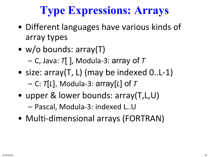# **Type Expressions: Arrays**

- Different languages have various kinds of array types
- w/o bounds: array(T)
	- C, Java: *T*[ ], Modula-3: array of *T*
- size: array(T, L) (may be indexed 0..L-1) – C: *T*[*L*], Modula-3: array[*L*] of *T*
- upper & lower bounds: array(T,L,U)

– Pascal, Modula-3: indexed L..U

• Multi-dimensional arrays (FORTRAN)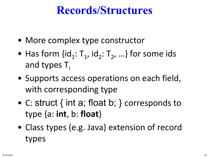#### **Records/Structures**

- More complex type constructor
- Has form  $\{id_1: T_1, id_2: T_2, ...\}$  for some ids and types  $T_i$
- Supports access operations on each field, with corresponding type
- C: struct { int a; float b; } corresponds to type {a: **int**, b: **float**}
- Class types (e.g. Java) extension of record types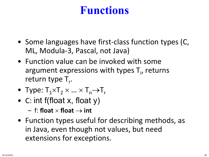### **Functions**

- Some languages have first-class function types (C, ML, Modula-3, Pascal, not Java)
- Function value can be invoked with some argument expressions with types  $T_i$ , returns return type T<sub>r</sub>.
- Type:  $T_1 \times T_2 \times ... \times T_n \rightarrow T_r$
- C: int f(float x, float y)
	- $-$  f: **float**  $\times$  **float**  $\rightarrow$  **int**
- Function types useful for describing methods, as in Java, even though not values, but need extensions for exceptions.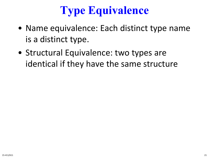# **Type Equivalence**

- Name equivalence: Each distinct type name is a distinct type.
- Structural Equivalence: two types are identical if they have the same structure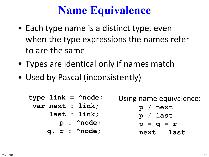### **Name Equivalence**

- Each type name is a distinct type, even when the type expressions the names refer to are the same
- Types are identical only if names match
- Used by Pascal (inconsistently)

| type $link = \land node;$ | Using name equivalence: |
|---------------------------|-------------------------|
| var next : link;          | $p \neq$ next           |
| last : link;              | $p \neq$ last           |
| $p : \text{ 'node};$      | $p = q = r$             |
| $q, r : \text{ 'node};$   | $next = last$           |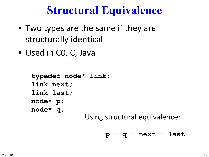#### **Structural Equivalence**

- Two types are the same if they are structurally identical
- Used in CO, C, Java

```
typedef node* link;
link next;
link last;
node* p;
node* q;
```
Using structural equivalence:

$$
p = q = next = last
$$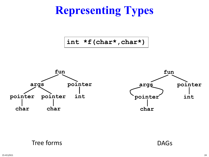# **Representing Types**

**int \*f(char\*,char\*)**



#### Tree forms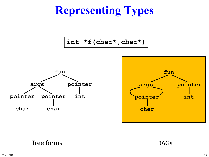# **Representing Types**

**int \*f(char\*,char\*)**





#### Tree forms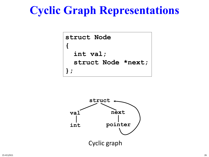#### **Cyclic Graph Representations**

```
struct Node
{ 
  int val;
  struct Node *next;
};
```
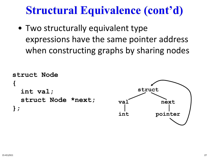### **Structural Equivalence (cont'd)**

• Two structurally equivalent type expressions have the same pointer address when constructing graphs by sharing nodes

```
struct Node
{ 
  int val;
  struct Node *next;
};
```
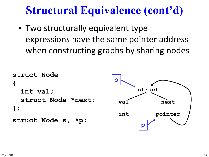#### **Structural Equivalence (cont'd)**

• Two structurally equivalent type expressions have the same pointer address when constructing graphs by sharing nodes

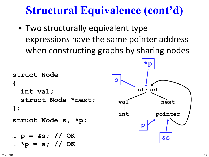#### **Structural Equivalence (cont'd)**

• Two structurally equivalent type expressions have the same pointer address when constructing graphs by sharing nodes

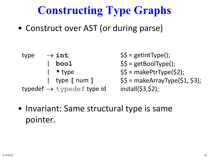# **Constructing Type Graphs**

• Construct over AST (or during parse)

| $\rightarrow$ int<br>type             | $\$\$ = getIntType();$        |
|---------------------------------------|-------------------------------|
| bool                                  | $$5 = getBoolType()$ ;        |
| $\star$ type                          | $$5 = makePtrType(52);$       |
| $\vert$ type [ num ]                  | $$5 = makeArrayType(51, 53);$ |
| typedef $\rightarrow$ typedef type id | install(S3,S2);               |

• Invariant: Same structural type is same pointer.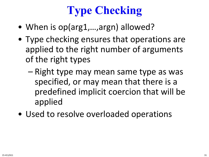# **Type Checking**

- When is op(arg1,...,argn) allowed?
- Type checking ensures that operations are applied to the right number of arguments of the right types
	- Right type may mean same type as was specified, or may mean that there is a predefined implicit coercion that will be applied
- Used to resolve overloaded operations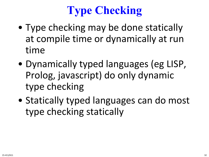# **Type Checking**

- Type checking may be done statically at compile time or dynamically at run time
- Dynamically typed languages (eg LISP, Prolog, javascript) do only dynamic type checking
- Statically typed languages can do most type checking statically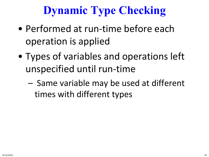## **Dynamic Type Checking**

- Performed at run-time before each operation is applied
- Types of variables and operations left unspecified until run-time
	- Same variable may be used at different times with different types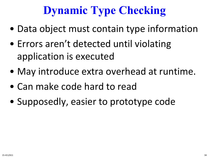# **Dynamic Type Checking**

- Data object must contain type information
- Errors aren't detected until violating application is executed
- May introduce extra overhead at runtime.
- Can make code hard to read
- Supposedly, easier to prototype code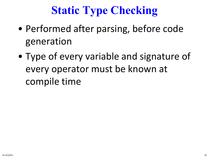# **Static Type Checking**

- Performed after parsing, before code generation
- Type of every variable and signature of every operator must be known at compile time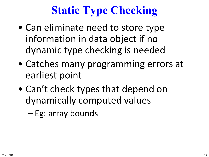# **Static Type Checking**

- Can eliminate need to store type information in data object if no dynamic type checking is needed
- Catches many programming errors at earliest point
- Can't check types that depend on dynamically computed values
	- Eg: array bounds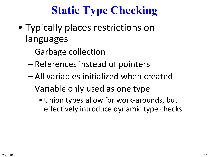# **Static Type Checking**

- Typically places restrictions on languages
	- Garbage collection
	- References instead of pointers
	- All variables initialized when created
	- Variable only used as one type
		- •Union types allow for work-arounds, but effectively introduce dynamic type checks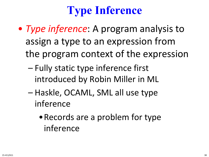# **Type Inference**

- *Type inference*: A program analysis to assign a type to an expression from the program context of the expression
	- Fully static type inference first introduced by Robin Miller in ML
	- Haskle, OCAML, SML all use type inference
		- •Records are a problem for type inference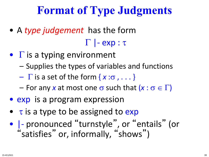### **Format of Type Judgments**

• A *type judgement* has the form

#### Γ |- exp : τ

- $\bullet$   $\Gamma$  is a typing environment
	- Supplies the types of variables and functions
	- $\Gamma$  is a set of the form  $\{x:\sigma, \ldots\}$
	- For any *x* at most one σ such that (*x* : σ ∈ Γ)
- exp is a program expression
- $\bullet$   $\tau$  is a type to be assigned to exp
- |- pronounced "turnstyle" , or "entails" (or "satisfies" or, informally, "shows")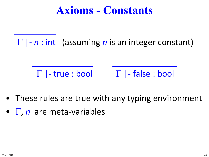#### **Axioms - Constants**

Γ |- *n* : int (assuming *n* is an integer constant)

 $\Gamma$  |- true : bool  $\Gamma$  |- false : bool

- These rules are true with any typing environment
- Γ, *n* are meta-variables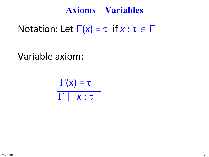#### **Axioms – Variables**

Notation: Let  $\Gamma(x) = \tau$  if  $x : \tau \in \Gamma$ 

Variable axiom:

$$
\frac{\Gamma(x) = \tau}{\Gamma \mid -x : \tau}
$$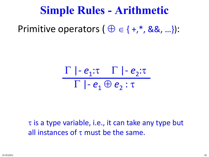#### **Simple Rules - Arithmetic**

Primitive operators  $(\oplus \in \{+,^*, \&\&\},\ldots)$ :

$$
\frac{\Gamma | - e_1 : \tau \quad \Gamma | - e_2 : \tau}{\Gamma | - e_1 \oplus e_2 : \tau}
$$

 $\tau$  is a type variable, i.e., it can take any type but all instances of  $\tau$  must be the same.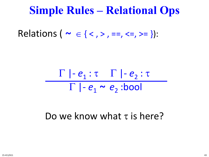#### **Simple Rules – Relational Ops**

Relations (  $\sim \in \{ \leq, \geq, \ ==, \ \leq, \geq= \}$ ):

$$
\frac{\Gamma | - e_1 : \tau \quad \Gamma | - e_2 : \tau}{\Gamma | - e_1 \sim e_2 : \text{bool}}
$$

Do we know what  $\tau$  is here?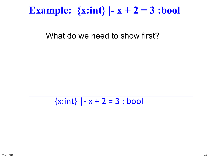#### **Example:**  $\{x:\text{int}\}\mid -x+2=3:\text{bool}\}$

What do we need to show first?

 $\{x:int\}$  | - x + 2 = 3 : bool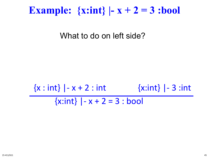#### **Example:**  $\{x:\text{int}\}\left(-x+2\right)=3:\text{bool}$

What to do on left side?

### $\{x : \text{int}\}\$  -  $x + 2 : \text{int}$   $\{x : \text{int}\}\$  - 3 : int  $\{x:int\}$  | - x + 2 = 3 : bool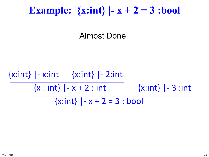#### **Example:**  $\{x:\text{int}\}\mid -x+2=3:\text{bool}\}$

Almost Done

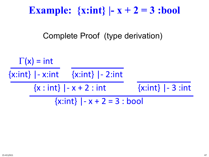#### **Example:**  $\{x:\text{int}\}\left(-x+2\right)=3:\text{bool}$

Complete Proof (type derivation)

 $\Gamma(x) = \text{int}$  $\{x:int\}$  |- x:int  $\{x:int\}$  |- 2:int  $\{x : \text{int}\}\$  -  $x + 2 : \text{int}$   $\{x : \text{int}\}\$  - 3 : int  $\{x:int\}$  | - x + 2 = 3 : bool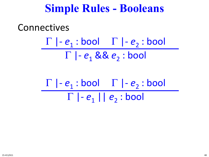#### **Simple Rules - Booleans**

#### **Connectives**

 $\Gamma$  |- $e_1$  : bool  $\Gamma$  |- $e_2$  : bool  $\Gamma$  |-  $e_1$  &&  $e_2$  : bool

$$
\frac{\Gamma \mid -e_1 : \text{bool} \quad \Gamma \mid -e_2 : \text{bool}}{\Gamma \mid -e_1 \mid e_2 : \text{bool}}
$$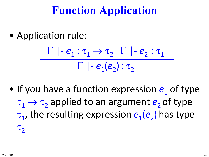### **Function Application**

• Application rule:

$$
\frac{\Gamma \mid e_1 : \tau_1 \to \tau_2 \quad \Gamma \mid e_2 : \tau_1}{\Gamma \mid e_1(e_2) : \tau_2}
$$

• If you have a function expression  $e_1$  of type  $\tau_1 \rightarrow \tau_2$  applied to an argument  $e_2$  of type τ1, the resulting expression *e*1(*e*2) has type  $\tau$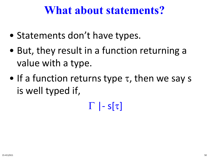#### **What about statements?**

- Statements don't have types.
- But, they result in a function returning a value with a type.
- If a function returns type  $\tau$ , then we say s is well typed if,
	- Γ |- s[τ]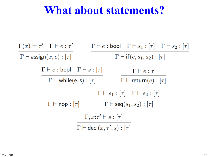#### **What about statements?**

$$
\frac{\Gamma(x) = \tau' \quad \Gamma \vdash e : \tau'}{\Gamma \vdash \text{assign}(x, e) : [\tau]}
$$
\n
$$
\frac{\Gamma \vdash e : \text{bool} \quad \Gamma \vdash s_1 : [\tau] \quad \Gamma \vdash s_2 : [\tau]}{\Gamma \vdash \text{trile}(e, s) : [\tau]}
$$
\n
$$
\frac{\Gamma \vdash e : \text{bool} \quad \Gamma \vdash s : [\tau]}{\Gamma \vdash \text{while}(e, s) : [\tau]} \qquad \frac{\Gamma \vdash e : \tau}{\Gamma \vdash \text{return}(e) : [\tau]}
$$
\n
$$
\frac{\Gamma \vdash s_1 : [\tau] \quad \Gamma \vdash s_2 : [\tau]}{\Gamma \vdash \text{neg}(s_1, s_2) : [\tau]}
$$
\n
$$
\frac{\Gamma, x : \tau' \vdash s : [\tau]}{\Gamma \vdash \text{decl}(x, \tau', s) : [\tau]}
$$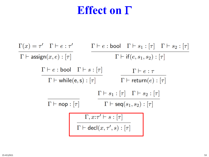#### **Effect on** Γ

$$
\frac{\Gamma(x) = \tau' \quad \Gamma \vdash e : \tau'}{\Gamma \vdash \text{assign}(x, e) : [\tau]}
$$
\n
$$
\frac{\Gamma \vdash e : \text{bool} \quad \Gamma \vdash s_1 : [\tau] \quad \Gamma \vdash s_2 : [\tau]}{\Gamma \vdash \text{while}(e, s) : [\tau]}
$$
\n
$$
\frac{\Gamma \vdash e : \text{bool} \quad \Gamma \vdash s : [\tau]}{\Gamma \vdash \text{while}(e, s) : [\tau]} \qquad \frac{\Gamma \vdash e : \tau}{\Gamma \vdash \text{return}(e) : [\tau]}
$$
\n
$$
\frac{\Gamma \vdash s_1 : [\tau] \quad \Gamma \vdash s_2 : [\tau]}{\Gamma \vdash \text{seq}(s_1, s_2) : [\tau]}
$$
\n
$$
\frac{\Gamma, x : \tau' \vdash s : [\tau]}{\Gamma \vdash \text{decl}(x, \tau', s) : [\tau]}
$$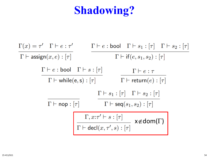# **Shadowing?**

$$
\frac{\Gamma(x) = \tau' \quad \Gamma \vdash e : \tau'}{\Gamma \vdash \text{assign}(x, e) : [\tau]}
$$
\n
$$
\frac{\Gamma \vdash e : \text{bool} \quad \Gamma \vdash s_1 : [\tau] \quad \Gamma \vdash s_2 : [\tau]}{\Gamma \vdash \text{trile}(e, s) : [\tau]}
$$
\n
$$
\frac{\Gamma \vdash e : \text{bool} \quad \Gamma \vdash s : [\tau]}{\Gamma \vdash \text{while}(e, s) : [\tau]} \qquad \frac{\Gamma \vdash e : \tau}{\Gamma \vdash \text{return}(e) : [\tau]}
$$
\n
$$
\frac{\Gamma \vdash s_1 : [\tau] \quad \Gamma \vdash s_2 : [\tau]}{\Gamma \vdash \text{neg}(s_1, s_2) : [\tau]}
$$
\n
$$
\frac{\Gamma, x : \tau' \vdash s : [\tau]}{\Gamma \vdash \text{decl}(x, \tau', s) : [\tau]} \quad \text{if } \forall \notin \text{dom}(\Gamma)
$$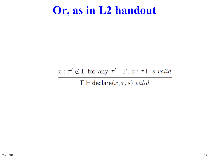#### **Or, as in L2 handout**

#### $x : \tau' \notin \Gamma$  for any  $\tau'$   $\Gamma$ ,  $x : \tau \vdash s$  valid  $\Gamma \vdash$  declare $(x, \tau, s)$  valid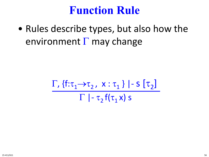#### **Function Rule**

• Rules describe types, but also how the environment  $\Gamma$  may change

$$
\frac{\Gamma_{1}\left\{f:\tau_{1}\rightarrow\tau_{2}, x:\tau_{1}\right\}\mid-S\left[\tau_{2}\right]}{\Gamma\mid-\tau_{2}\left(f(\tau_{1}x)\right)}
$$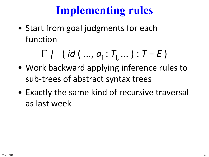## **Implementing rules**

• Start from goal judgments for each function

Γ *|–* ( *id* ( ..., *a*<sup>i</sup> : *T*i, ... ) : *T* = *E* )

- Work backward applying inference rules to sub-trees of abstract syntax trees
- Exactly the same kind of recursive traversal as last week